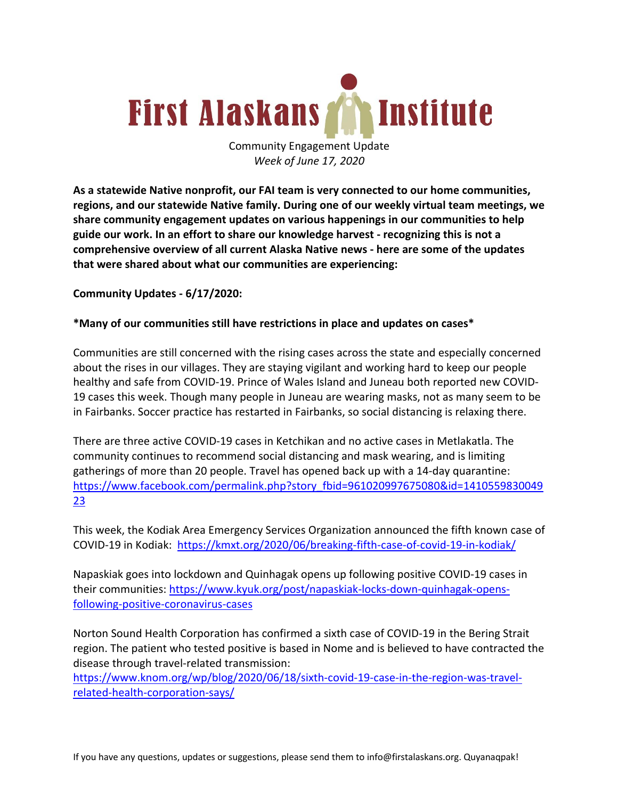

Community Engagement Update *Week of June 17, 2020*

**As a statewide Native nonprofit, our FAI team is very connected to our home communities, regions, and our statewide Native family. During one of our weekly virtual team meetings, we share community engagement updates on various happenings in our communities to help guide our work. In an effort to share our knowledge harvest - recognizing this is not a comprehensive overview of all current Alaska Native news - here are some of the updates that were shared about what our communities are experiencing:**

**Community Updates - 6/17/2020:**

### **\*Many of our communities still have restrictions in place and updates on cases\***

Communities are still concerned with the rising cases across the state and especially concerned about the rises in our villages. They are staying vigilant and working hard to keep our people healthy and safe from COVID-19. Prince of Wales Island and Juneau both reported new COVID-19 cases this week. Though many people in Juneau are wearing masks, not as many seem to be in Fairbanks. Soccer practice has restarted in Fairbanks, so social distancing is relaxing there.

There are three active COVID-19 cases in Ketchikan and no active cases in Metlakatla. The community continues to recommend social distancing and mask wearing, and is limiting gatherings of more than 20 people. Travel has opened back up with a 14-day quarantine: https://www.facebook.com/permalink.php?story\_fbid=961020997675080&id=1410559830049 23

This week, the Kodiak Area Emergency Services Organization announced the fifth known case of COVID-19 in Kodiak: https://kmxt.org/2020/06/breaking-fifth-case-of-covid-19-in-kodiak/

Napaskiak goes into lockdown and Quinhagak opens up following positive COVID-19 cases in their communities: https://www.kyuk.org/post/napaskiak-locks-down-quinhagak-opensfollowing-positive-coronavirus-cases

Norton Sound Health Corporation has confirmed a sixth case of COVID-19 in the Bering Strait region. The patient who tested positive is based in Nome and is believed to have contracted the disease through travel-related transmission:

https://www.knom.org/wp/blog/2020/06/18/sixth-covid-19-case-in-the-region-was-travelrelated-health-corporation-says/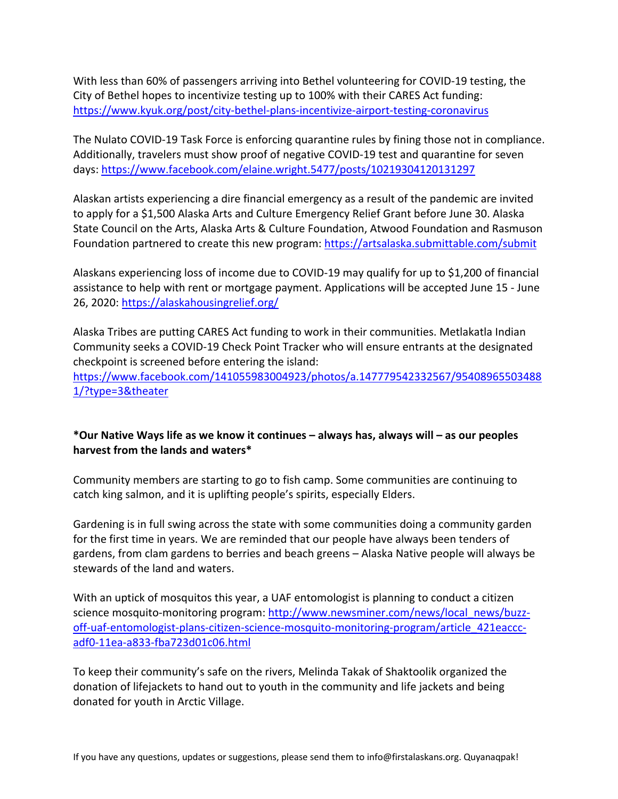With less than 60% of passengers arriving into Bethel volunteering for COVID-19 testing, the City of Bethel hopes to incentivize testing up to 100% with their CARES Act funding: https://www.kyuk.org/post/city-bethel-plans-incentivize-airport-testing-coronavirus

The Nulato COVID-19 Task Force is enforcing quarantine rules by fining those not in compliance. Additionally, travelers must show proof of negative COVID-19 test and quarantine for seven days: https://www.facebook.com/elaine.wright.5477/posts/10219304120131297

Alaskan artists experiencing a dire financial emergency as a result of the pandemic are invited to apply for a \$1,500 Alaska Arts and Culture Emergency Relief Grant before June 30. Alaska State Council on the Arts, Alaska Arts & Culture Foundation, Atwood Foundation and Rasmuson Foundation partnered to create this new program: https://artsalaska.submittable.com/submit

Alaskans experiencing loss of income due to COVID-19 may qualify for up to \$1,200 of financial assistance to help with rent or mortgage payment. Applications will be accepted June 15 - June 26, 2020: https://alaskahousingrelief.org/

Alaska Tribes are putting CARES Act funding to work in their communities. Metlakatla Indian Community seeks a COVID-19 Check Point Tracker who will ensure entrants at the designated checkpoint is screened before entering the island:

https://www.facebook.com/141055983004923/photos/a.147779542332567/95408965503488 1/?type=3&theater

# **\*Our Native Ways life as we know it continues – always has, always will – as our peoples harvest from the lands and waters\***

Community members are starting to go to fish camp. Some communities are continuing to catch king salmon, and it is uplifting people's spirits, especially Elders.

Gardening is in full swing across the state with some communities doing a community garden for the first time in years. We are reminded that our people have always been tenders of gardens, from clam gardens to berries and beach greens – Alaska Native people will always be stewards of the land and waters.

With an uptick of mosquitos this year, a UAF entomologist is planning to conduct a citizen science mosquito-monitoring program: http://www.newsminer.com/news/local\_news/buzzoff-uaf-entomologist-plans-citizen-science-mosquito-monitoring-program/article\_421eacccadf0-11ea-a833-fba723d01c06.html

To keep their community's safe on the rivers, Melinda Takak of Shaktoolik organized the donation of lifejackets to hand out to youth in the community and life jackets and being donated for youth in Arctic Village.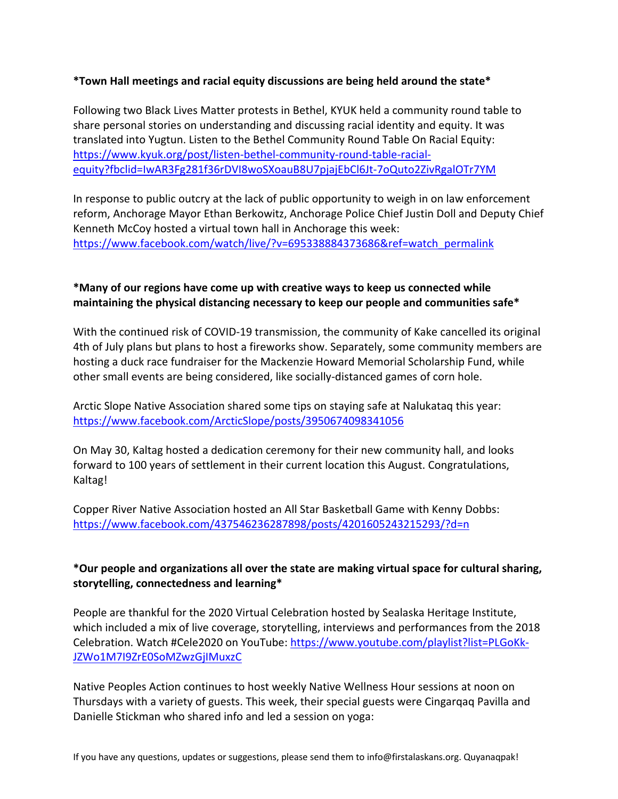## **\*Town Hall meetings and racial equity discussions are being held around the state\***

Following two Black Lives Matter protests in Bethel, KYUK held a community round table to share personal stories on understanding and discussing racial identity and equity. It was translated into Yugtun. Listen to the Bethel Community Round Table On Racial Equity: https://www.kyuk.org/post/listen-bethel-community-round-table-racialequity?fbclid=IwAR3Fg281f36rDVI8woSXoauB8U7pjajEbCl6Jt-7oQuto2ZivRgalOTr7YM

In response to public outcry at the lack of public opportunity to weigh in on law enforcement reform, Anchorage Mayor Ethan Berkowitz, Anchorage Police Chief Justin Doll and Deputy Chief Kenneth McCoy hosted a virtual town hall in Anchorage this week: https://www.facebook.com/watch/live/?v=695338884373686&ref=watch\_permalink

# **\*Many of our regions have come up with creative ways to keep us connected while maintaining the physical distancing necessary to keep our people and communities safe\***

With the continued risk of COVID-19 transmission, the community of Kake cancelled its original 4th of July plans but plans to host a fireworks show. Separately, some community members are hosting a duck race fundraiser for the Mackenzie Howard Memorial Scholarship Fund, while other small events are being considered, like socially-distanced games of corn hole.

Arctic Slope Native Association shared some tips on staying safe at Nalukataq this year: https://www.facebook.com/ArcticSlope/posts/3950674098341056

On May 30, Kaltag hosted a dedication ceremony for their new community hall, and looks forward to 100 years of settlement in their current location this August. Congratulations, Kaltag!

Copper River Native Association hosted an All Star Basketball Game with Kenny Dobbs: https://www.facebook.com/437546236287898/posts/4201605243215293/?d=n

# **\*Our people and organizations all over the state are making virtual space for cultural sharing, storytelling, connectedness and learning\***

People are thankful for the 2020 Virtual Celebration hosted by Sealaska Heritage Institute, which included a mix of live coverage, storytelling, interviews and performances from the 2018 Celebration. Watch #Cele2020 on YouTube: https://www.youtube.com/playlist?list=PLGoKk-JZWo1M7I9ZrE0SoMZwzGjIMuxzC

Native Peoples Action continues to host weekly Native Wellness Hour sessions at noon on Thursdays with a variety of guests. This week, their special guests were Cingarqaq Pavilla and Danielle Stickman who shared info and led a session on yoga: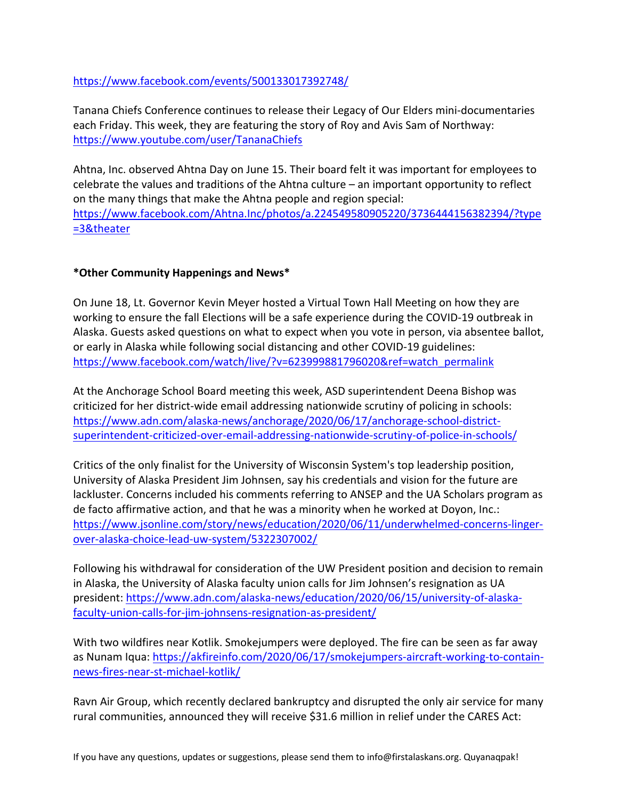## https://www.facebook.com/events/500133017392748/

Tanana Chiefs Conference continues to release their Legacy of Our Elders mini-documentaries each Friday. This week, they are featuring the story of Roy and Avis Sam of Northway: https://www.youtube.com/user/TananaChiefs

Ahtna, Inc. observed Ahtna Day on June 15. Their board felt it was important for employees to celebrate the values and traditions of the Ahtna culture – an important opportunity to reflect on the many things that make the Ahtna people and region special: https://www.facebook.com/Ahtna.Inc/photos/a.224549580905220/3736444156382394/?type =3&theater

### **\*Other Community Happenings and News\***

On June 18, Lt. Governor Kevin Meyer hosted a Virtual Town Hall Meeting on how they are working to ensure the fall Elections will be a safe experience during the COVID-19 outbreak in Alaska. Guests asked questions on what to expect when you vote in person, via absentee ballot, or early in Alaska while following social distancing and other COVID-19 guidelines: https://www.facebook.com/watch/live/?v=623999881796020&ref=watch\_permalink

At the Anchorage School Board meeting this week, ASD superintendent Deena Bishop was criticized for her district-wide email addressing nationwide scrutiny of policing in schools: https://www.adn.com/alaska-news/anchorage/2020/06/17/anchorage-school-districtsuperintendent-criticized-over-email-addressing-nationwide-scrutiny-of-police-in-schools/

Critics of the only finalist for the University of Wisconsin System's top leadership position, University of Alaska President Jim Johnsen, say his credentials and vision for the future are lackluster. Concerns included his comments referring to ANSEP and the UA Scholars program as de facto affirmative action, and that he was a minority when he worked at Doyon, Inc.: https://www.jsonline.com/story/news/education/2020/06/11/underwhelmed-concerns-lingerover-alaska-choice-lead-uw-system/5322307002/

Following his withdrawal for consideration of the UW President position and decision to remain in Alaska, the University of Alaska faculty union calls for Jim Johnsen's resignation as UA president: https://www.adn.com/alaska-news/education/2020/06/15/university-of-alaskafaculty-union-calls-for-jim-johnsens-resignation-as-president/

With two wildfires near Kotlik. Smokejumpers were deployed. The fire can be seen as far away as Nunam Iqua: https://akfireinfo.com/2020/06/17/smokejumpers-aircraft-working-to-containnews-fires-near-st-michael-kotlik/

Ravn Air Group, which recently declared bankruptcy and disrupted the only air service for many rural communities, announced they will receive \$31.6 million in relief under the CARES Act: